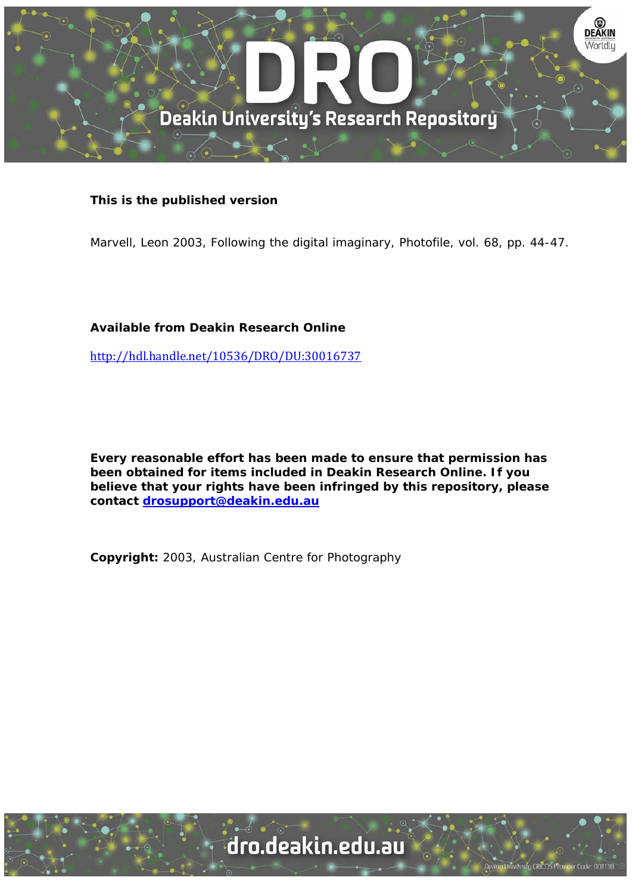

## **This is the published version**

Marvell, Leon 2003, Following the digital imaginary, Photofile, vol. 68, pp. 44-47.

## **Available from Deakin Research Online**

http://hdl.handle.net/10536/DRO/DU:30016737

**Every reasonable effort has been made to ensure that permission has been obtained for items included in Deakin Research Online. If you believe that your rights have been infringed by this repository, please contact drosupport@deakin.edu.au** 

**Copyright:** 2003, Australian Centre for Photography

dro.deakin.edu.au

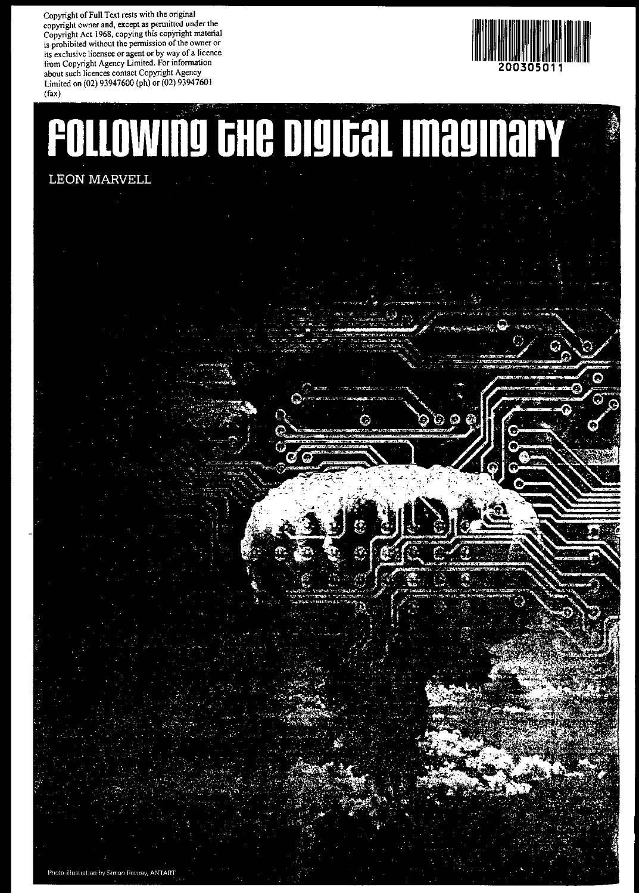**Copyright of Full Text rests with the original copyright owner and, except as pennitted under the Copyright Act 1968, copying this copYright material is prohibited without the pennission ofthe owner or its exclusive licensee or agent or by way of a licence from Copyright Agency Limited. For infonnation about such licences contact Copyright Agency** Limited on (02) 93947600 (ph) or (02) 93947601



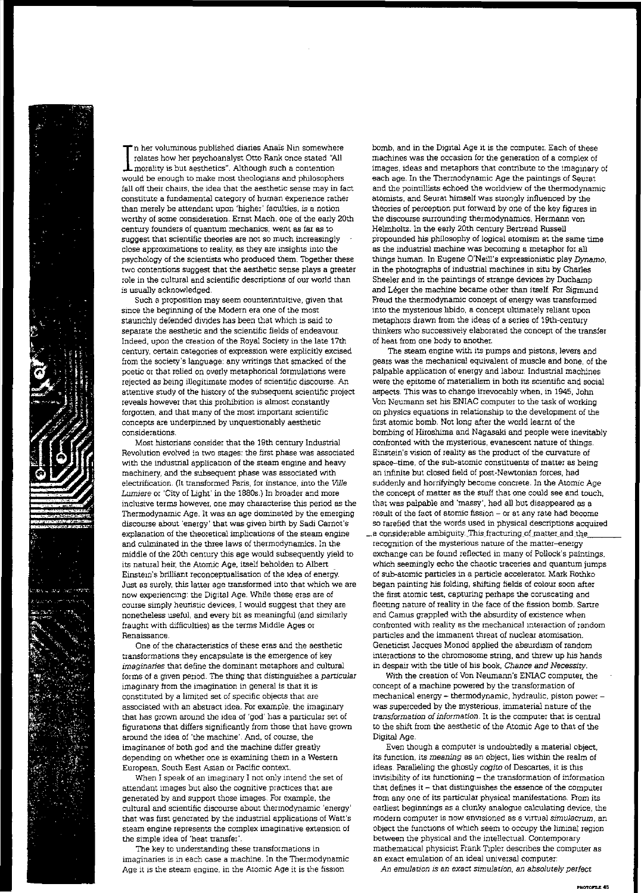

In her voluminous published diaries Anaïs Nin somewhere<br>relates how her psychoanalyst Otto Rank once stated "All<br>morality is but aesthetics". Although such a contention<br>would be enough to make most theologians and philosop 'n her voluminous published diaries Anaïs Nin somewhere relates how her psychoanalyst Otto Rank Once stated "All morality is but aesthetics". Although such a contention fall off their chairs, the idea that the aesthetic sense may in fact constitute a fundamental category of human experience rather than merely be attendant upon 'higher' faculties, is a notion worthy of some consideration. Ernst Mach, one of the early 20th century founders of quantum mechanics, went as far as to suggest that scientific theories are not so much increasingly close approximations to reality, as they are insights into the psychology of the scientists who produced them. Together these two contentions suggest that the aesthetic sense plays a greater role in the cultural and scientific descriptions of our world than is usually acknowledged.

Such a proposition may seem counterintuitive, given that since the beginning of the Modern era one of the most staunchly defended diVides has been that which is said to separate the aesthetic and the scientific fields of endeavour. Indeed, upon the creation of the Royal Society in the late 17th century, certain categories of expression were explicitly excised from the society's language: any writings that smacked of the poetic or that relied on overly metaphorical formulations were rejected as being illegitimate modes of scientific discourse. An attentive study of the history of the subsequent scientific project reveals however that this prohibition is almost constantly forgotten, and that many of the most important scientific concepts are underpinned by unquestionably aesthetic considerations.

Most historians consider that the 19th century Industrial Revolution evolved in two stages: the first phase was associated with the industrial application of the steam engine and heavy machinery, and the subsequent phase was associated with electrification. (It transformed Paris, for instance, into the Ville Lumiere or 'City of Light' in the 1880s.) In broader and more inclusive terms however, one may characterise this period as the Thermodynamic Age. It was an age dominated by the emerging discourse about 'energy' that was given birth by Sadi Carnot's explanation of the theoretical implications of the steam engine and culminated in the three laws of thermodynamics. In the middle of the 20th century this age would subsequently yield to its natural heir, the Atomic Age, itself beholden to Albert Einstem's brilliant reconceptualisation of the ldea of energy. Just as surely, this latter age transformed into that which we are now experiencmg: the Digital Age. While these eras are of course simply heuristic devices, I would suggest that they are nonetheless useful, and every bit as meaningful (and similarly fraught with difficulties) as the terms Middle Ages or Renaissance.

One of the characteristics of these eras and the aesthetic transformations they encapsulate is the emergence of key imaginaries that define the dominant metaphors and cultural forms of a given period. The thing that distinguishes a particular imaginary from the imagination in general is that it is constituted by a limited set of specific objects that are associated with an abstract idea. For example, the imaginary that has grown around the idea of 'god' has a particular set of figurations that differs significantly from those that have grown around the idea of 'the machine', And, of course, the imaginanes of both god and the machine differ greatly depending on whether one is examining them in a Western European, South East Asian or Pacific context.

When I speak of an imaginary I not only intend the set of attendant images but also the cognitive practices that are generated by and support those images. For example, the cultural and scientific discourse about thermodynamic 'energy' that was first generated by the industrial applications of Watt's steam engine represents the complex imaginative extension of the simple idea of 'heat transfer'.

The key to understanding these transformations in imaginaries is in each case a machine. In the Thermodynamic Age it is the steam engine, in the Atomic Age it is the fission

bomb, and in the Digital Age it is the computer. Each of these machines was the occasion for the generation of a complex of images, ideas and metaphors that contribute to the imaginary of each age. In the Thermodynamic Age the paintings of Seurat and the pointillists echoed the worldview of the thermodynamic atomists, and Seurat himself was strongly influenced by the theories of perception put forward by one of the key figures in the discourse surrounding thermodynamics, Hermann von HeImholtz. In the early 20th century Bertrand Russell p'ropounded his philosophy of logical atomism at the same time as the industrial machine was becoming a metaphor for all things human. In Eugene O'Neill's expressionistic play Dynamo, in the photographs of industrial machines in situ by Charles Sheeler and in the paintings of strange devices by Duchamp and Léger the machine became other than itself. For Sigmund Freud the thermodynamic concept of energy was transformed into the mysterious libido, a concept ultimately reliant upon metaphors drawn from the ideas of a series of 19th-century thinkers who successively elaborated the concept of the transfer of heat from one body to another.

The steam engine with its pumps and pistons, levers and gears was the mechanical equivalent of muscle and bone, of the palpable application of energy and labour. Industrial machines were the epitome of materialism in both its scientific and social aspects. This was to change irrevocably when, in 1945, John Van Neumann set his ENIAC computer to the task of working on physics equations in relationship to the development of the first atomic bomb. Not long after the world learnt of the bombing of Hiroshima and Nagasaki and people were inevitably confronted with the mysterious, evanescent nature of things, Einstein's vision of reality as the product of the curvature of space-time, of the sub·atomic constituents of matter as being an infinite but closed field of post-Newtonian forces, had suddenly and horrifyingly become concrete. In the Atomic Age the concept of matter as the stuff that one could see and touch, that was palpable and 'massy', had all but disappeared as a result of the fact of atomic fission - or at any rate had become so rarefied that the words used in physical descriptions acquired

 $\_$ a considerable ambiguity. This fracturing of matter and the recognition of the mysterious nature of the matter-energy exchange can be found reflected in many of Pollock's paintings, which seemingly echo the chaotic traceries and quantum jumps of sub-atomic particles in a particle accelerator. Mark Rothko began painting his folding, shifting fields of colour soon after the first atomic test, capturing perhaps the coruscating and fleeting nature of reality in the face of the fission bomb. Sartre and Camus grappled with the absurdity of existence when confronted with reality as the mechanical mteraction of random particles and the immanent threat of nuclear atomisation. Geneticist Jacques Monad applied the absurdism of random interactions to the chromosome string, and threw up his hands in despair with the title of his book. Chance and Necessity.

With the creation of Von Neumann's ENIAC computer, the concept of a machine powered by the transformation of mechanical energy - thermodynamic, hydraulic, piston power was superceded by the mysterious, immaterial nature of the transformation of information. It is the computer that is central to the shift from the aesthetic of the Atomic Age to that of the Digital Age.

Even though a computer is undoubtedly a material object, its function, its meaning as an object, lies within the realm of ideas, Paralleling the ghostly cogito of Descartes, it is this invisibility of its functioning - the transformation of information that defines it  $-$  that distinguishes the essence of the computer from any one of its particular physical manifestations. From its earliest beginnings as a clunky analogue calculating device, the modern computer is now envisioned as a virtual simulacrum, an object the functions of which seem to occupy the liminal region between the physical and the intellectual, Contemporary mathematical physicist Frank Tipler describes the computer as an exact emulation of an ideal universal computer:

*An* emulation is an exact simulation, an absolutely perfect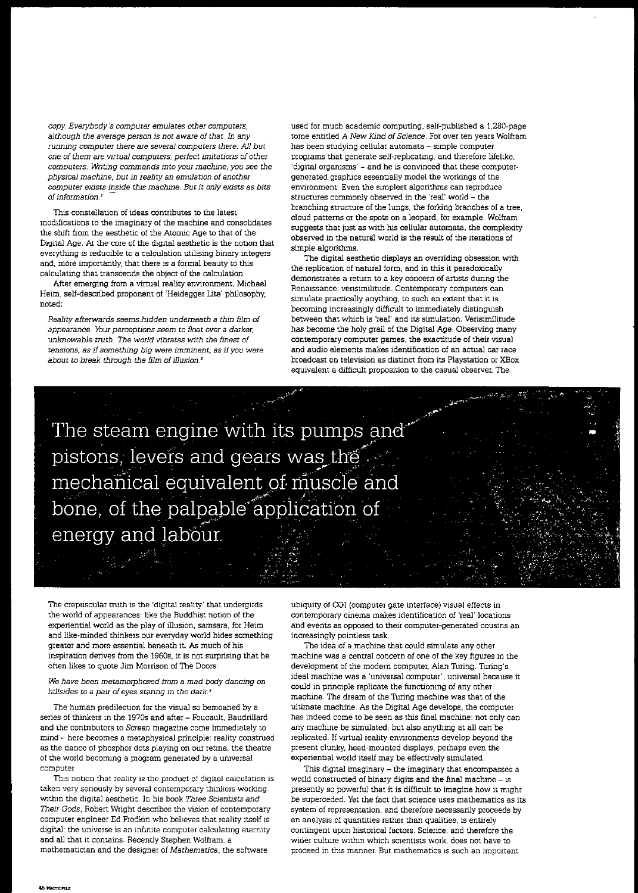copy. Everybody's computer emulates other computers, although the average person is not aware of that. In any running computer there are several computers there. All but one of them are virtual computers, perfect imitations of other computers. Writing commands into your machine, you see the physical machine, but in reality an emulation of another computer exists inside this machine. But it only exists as bits of information.<sup>1</sup>

This constellation of ideas contributes to the latest modifications to the imaginary of the machine and consolidates the shift from the aesthetic of the Atomic Age to that of the Digital Age. At the core of the digital aesthetic is the notion that everything is reducible to a calculation utilising binary integers and, more importantly, that there is a formal beauty to this calculating that transcends the object of the calculation.

After emerging from a virtual reality environment, Michael Heim, self-described proponent of 'Heidegger Lite' philosophy, noted:

Reality afterwards seems\_hidden underneath a thin film of appearance. Your perceptions seem to float over a darker, unknowable truth. The world vibrates with the finest of tensions, as if something big were imminent, as if you were about to break through the film of illusion.<sup>2</sup>

used for much academic computing, self-published a 1,280-page tome entitled A New Kind of Science. For over ten years Wolfram has been studying cellular automata - simple computer programs that generate self-replicating, and therefore lifelike, 'digital organisms' - and he is convinced that these computer· generated graphics essentially model the workings of the environment. Even the simplest algorithms can reproduce structures commonly observed in the 'real' world - the branching structure of the lungs, the forking branches of a tree, cloud patterns or the spots on a leopard, for example. Wolfram suggests that just as with his cellular automata, the complexity observed in the natura1 world is the result of the iterations of simple algorithms.

The digital aesthetic displays an overriding obsession with the replication of natural form, and in this it paradoxically demonstrates a return to a key concern of artists during the Renaissance: verisimilitude. Contemporary computers can simulate practically anything, to such an extent that it is becoming increasingly difficult to immediately distinguish between that which is 'real' and its simulation. Verisimilitude has become the holy grail of the Digital Age. Observing many contemporary computer games, the exactitude of their visual and audio elements makes identification of an actual car race broadcast on television as distinct from its Playstation or XBox equivalent a difficult proposition to the casual observer. The

The steam engine with its pumps and pistons, levers and gears was the mechanical equivalent of muscle and bone, of the palpable application of energy and labour.

The crepuscular truth is the 'digital reality' that undergirds the world of appearances: like the Buddhist notion of the experiential world as the play of illusion, samsara, for Heim and like·minded thinkers om everyday world hides something greater and more essential beneath it. As much of his inspiration derives from the 1960s, it is not surprising that he often likes to quote Jim Mortison of The Doors:

## We have been metamorphosed from a mad body dancing on hillsides to a pair of eyes staring *in* the dark. *<sup>3</sup>*

The human predilection for the visual so bemoaned by a series of thinkers in the 1970s and after - Foucault, Baudrillard and the contributors to Screen magazine come immediately to mind - here becomes a metaphysical principle: reality construed as the dance of phosphor dots playing on our retina, the theatre of the world becoming a program generated by a umversal computer

This notion that reality is the product of digital calculation is taken very seriously by several contemporary thinkers working withm the digital aesthetic. In his book Three Scientists and Their Gods, Robert Wright describes the vision of contemporary computer engineer Ed Fredkin who beheves that reality itself is digital: the universe is an infinite computer calculating eternity and all that it contains. Recently Stephen Wolfram, a mathematician and the designer of Mathematica, the software

ubiquity of CGI (computer gate interface) visual effects in contemporary cinema makes identification of 'real' locations and events as opposed to their computer-generated cousins an increasingly pointless task

The idea of a machine that could simulate any other machine was a central concern of one of the key figures in the development of the modern computer, Alan Turing. Turing's ideal machine was a 'universal computer', universal because it could in principle replicate the functioning of any other machine. The dream of the Thring machine was that of the ultimate machine. As the Digital Age develops, the computer has indeed come to be seen as this final machine: not only can any machine be simulated, but also anything at all can be replicated. If virtual reality environments develop beyond the present clunky, head-mounted displays, perhaps even the experiential world itself may be effectively simulated.

This digital imaginary - the imaginary that encompasses a world constructed of binary digits and the final machine - is presently so powerful that it is difficult to imagine how it might be superceded. Yet the fact that science uses mathematics as its system of representation, and therefore necessarily proceeds by an analysis of quantities rather than qualities, is entirely contingent upon historical factors. Science, and therefore the wider culture within which scientists work, does not have to proceed in this manner. But mathematics is such an important